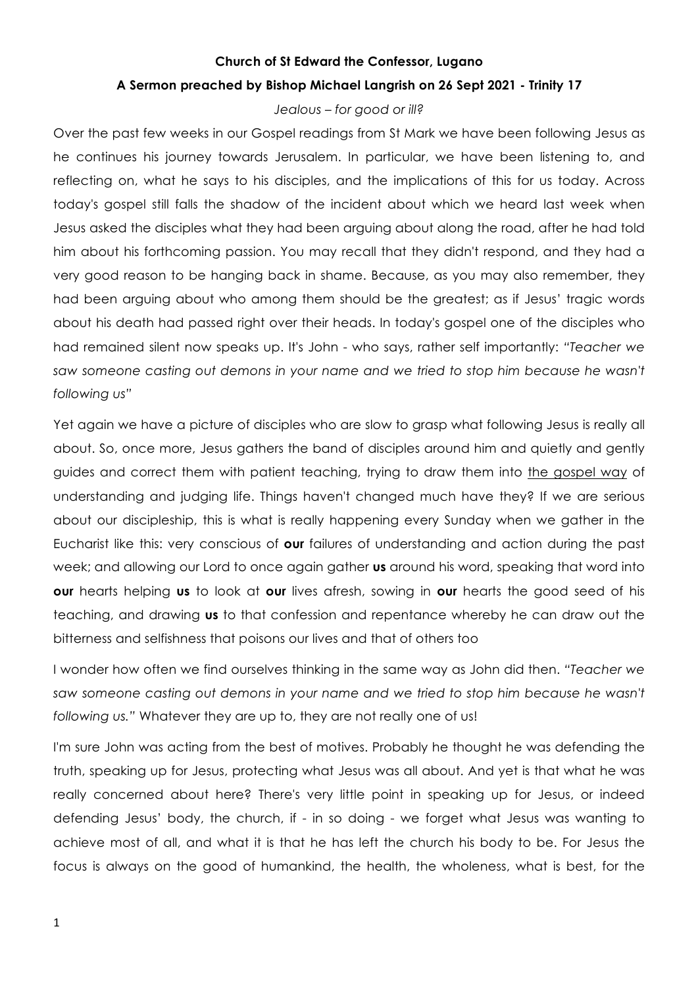## **Church of St Edward the Confessor, Lugano A Sermon preached by Bishop Michael Langrish on 26 Sept 2021 - Trinity 17**

## *Jealous – for good or ill?*

Over the past few weeks in our Gospel readings from St Mark we have been following Jesus as he continues his journey towards Jerusalem. In particular, we have been listening to, and reflecting on, what he says to his disciples, and the implications of this for us today. Across today's gospel still falls the shadow of the incident about which we heard last week when Jesus asked the disciples what they had been arguing about along the road, after he had told him about his forthcoming passion. You may recall that they didn't respond, and they had a very good reason to be hanging back in shame. Because, as you may also remember, they had been arguing about who among them should be the greatest; as if Jesus' tragic words about his death had passed right over their heads. In today's gospel one of the disciples who had remained silent now speaks up. It's John - who says, rather self importantly: *"Teacher we*  saw someone casting out demons in your name and we tried to stop him because he wasn't *following us"*

Yet again we have a picture of disciples who are slow to grasp what following Jesus is really all about. So, once more, Jesus gathers the band of disciples around him and quietly and gently guides and correct them with patient teaching, trying to draw them into the gospel way of understanding and judging life. Things haven't changed much have they? If we are serious about our discipleship, this is what is really happening every Sunday when we gather in the Eucharist like this: very conscious of **our** failures of understanding and action during the past week; and allowing our Lord to once again gather **us** around his word, speaking that word into **our** hearts helping **us** to look at **our** lives afresh, sowing in **our** hearts the good seed of his teaching, and drawing **us** to that confession and repentance whereby he can draw out the bitterness and selfishness that poisons our lives and that of others too

I wonder how often we find ourselves thinking in the same way as John did then. *"Teacher we*  saw someone casting out demons in your name and we tried to stop him because he wasn't *following us."* Whatever they are up to, they are not really one of us!

I'm sure John was acting from the best of motives. Probably he thought he was defending the truth, speaking up for Jesus, protecting what Jesus was all about. And yet is that what he was really concerned about here? There's very little point in speaking up for Jesus, or indeed defending Jesus' body, the church, if - in so doing - we forget what Jesus was wanting to achieve most of all, and what it is that he has left the church his body to be. For Jesus the focus is always on the good of humankind, the health, the wholeness, what is best, for the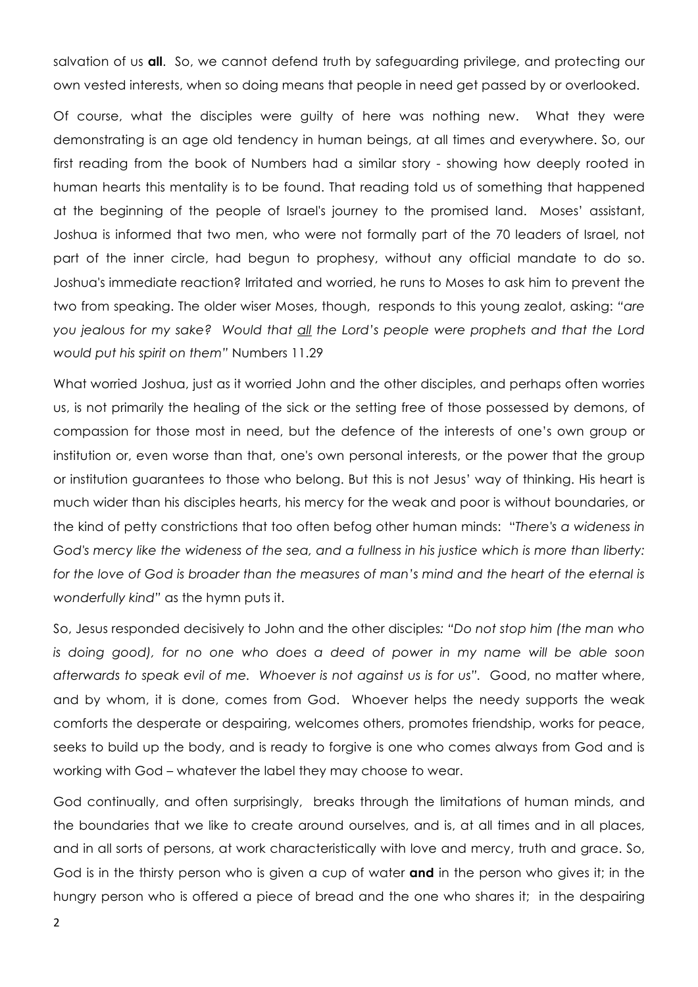salvation of us **all**. So, we cannot defend truth by safeguarding privilege, and protecting our own vested interests, when so doing means that people in need get passed by or overlooked.

Of course, what the disciples were guilty of here was nothing new. What they were demonstrating is an age old tendency in human beings, at all times and everywhere. So, our first reading from the book of Numbers had a similar story - showing how deeply rooted in human hearts this mentality is to be found. That reading told us of something that happened at the beginning of the people of Israel's journey to the promised land. Moses' assistant, Joshua is informed that two men, who were not formally part of the 70 leaders of Israel, not part of the inner circle, had begun to prophesy, without any official mandate to do so. Joshua's immediate reaction? Irritated and worried, he runs to Moses to ask him to prevent the two from speaking. The older wiser Moses, though, responds to this young zealot, asking: *"are you jealous for my sake? Would that all the Lord's people were prophets and that the Lord would put his spirit on them"* Numbers 11.29

What worried Joshua, just as it worried John and the other disciples, and perhaps often worries us, is not primarily the healing of the sick or the setting free of those possessed by demons, of compassion for those most in need, but the defence of the interests of one's own group or institution or, even worse than that, one's own personal interests, or the power that the group or institution guarantees to those who belong. But this is not Jesus' way of thinking. His heart is much wider than his disciples hearts, his mercy for the weak and poor is without boundaries, or the kind of petty constrictions that too often befog other human minds: "*There's a wideness in God's mercy like the wideness of the sea, and a fullness in his justice which is more than liberty:*  for the love of God is broader than the measures of man's mind and the heart of the eternal is *wonderfully kind"* as the hymn puts it.

So, Jesus responded decisively to John and the other disciples*: "Do not stop him (the man who*  is doing good), for no one who does a deed of power in my name will be able soon *afterwards to speak evil of me. Whoever is not against us is for us".* Good, no matter where, and by whom, it is done, comes from God. Whoever helps the needy supports the weak comforts the desperate or despairing, welcomes others, promotes friendship, works for peace, seeks to build up the body, and is ready to forgive is one who comes always from God and is working with God – whatever the label they may choose to wear.

God continually, and often surprisingly, breaks through the limitations of human minds, and the boundaries that we like to create around ourselves, and is, at all times and in all places, and in all sorts of persons, at work characteristically with love and mercy, truth and grace. So, God is in the thirsty person who is given a cup of water **and** in the person who gives it; in the hungry person who is offered a piece of bread and the one who shares it; in the despairing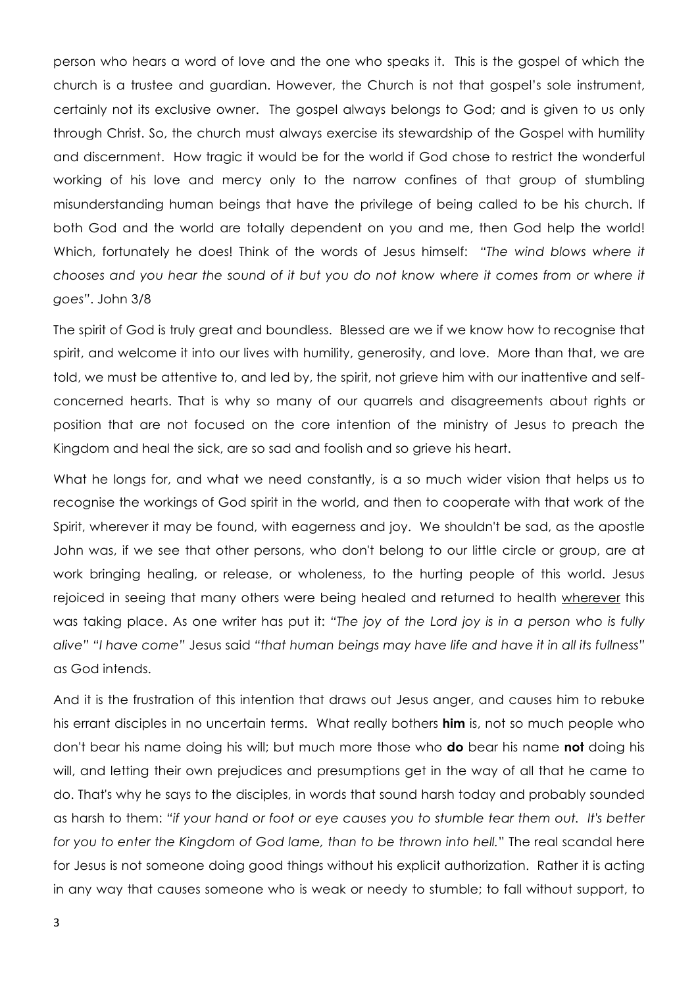person who hears a word of love and the one who speaks it. This is the gospel of which the church is a trustee and guardian. However, the Church is not that gospel's sole instrument, certainly not its exclusive owner. The gospel always belongs to God; and is given to us only through Christ. So, the church must always exercise its stewardship of the Gospel with humility and discernment. How tragic it would be for the world if God chose to restrict the wonderful working of his love and mercy only to the narrow confines of that group of stumbling misunderstanding human beings that have the privilege of being called to be his church. If both God and the world are totally dependent on you and me, then God help the world! Which, fortunately he does! Think of the words of Jesus himself: *"The wind blows where it chooses and you hear the sound of it but you do not know where it comes from or where it goes"*. John 3/8

The spirit of God is truly great and boundless. Blessed are we if we know how to recognise that spirit, and welcome it into our lives with humility, generosity, and love. More than that, we are told, we must be attentive to, and led by, the spirit, not grieve him with our inattentive and selfconcerned hearts. That is why so many of our quarrels and disagreements about rights or position that are not focused on the core intention of the ministry of Jesus to preach the Kingdom and heal the sick, are so sad and foolish and so grieve his heart.

What he longs for, and what we need constantly, is a so much wider vision that helps us to recognise the workings of God spirit in the world, and then to cooperate with that work of the Spirit, wherever it may be found, with eagerness and joy. We shouldn't be sad, as the apostle John was, if we see that other persons, who don't belong to our little circle or group, are at work bringing healing, or release, or wholeness, to the hurting people of this world. Jesus rejoiced in seeing that many others were being healed and returned to health wherever this was taking place. As one writer has put it: *"The joy of the Lord joy is in a person who is fully alive" "I have come"* Jesus said *"that human beings may have life and have it in all its fullness"* as God intends.

And it is the frustration of this intention that draws out Jesus anger, and causes him to rebuke his errant disciples in no uncertain terms. What really bothers **him** is, not so much people who don't bear his name doing his will; but much more those who **do** bear his name **not** doing his will, and letting their own prejudices and presumptions get in the way of all that he came to do. That's why he says to the disciples, in words that sound harsh today and probably sounded as harsh to them: *"if your hand or foot or eye causes you to stumble tear them out. It's better for you to enter the Kingdom of God lame, than to be thrown into hell.*" The real scandal here for Jesus is not someone doing good things without his explicit authorization. Rather it is acting in any way that causes someone who is weak or needy to stumble; to fall without support, to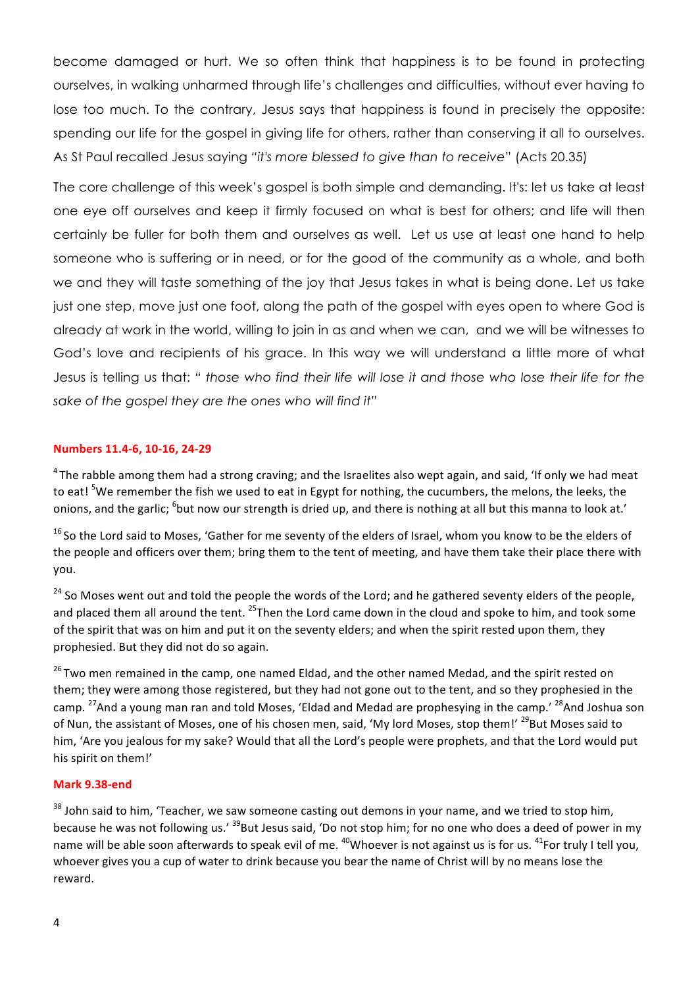become damaged or hurt. We so often think that happiness is to be found in protecting ourselves, in walking unharmed through life's challenges and difficulties, without ever having to lose too much. To the contrary, Jesus says that happiness is found in precisely the opposite: spending our life for the gospel in giving life for others, rather than conserving it all to ourselves. As St Paul recalled Jesus saying *"it's more blessed to give than to receive*" (Acts 20.35)

The core challenge of this week's gospel is both simple and demanding. It's: let us take at least one eye off ourselves and keep it firmly focused on what is best for others; and life will then certainly be fuller for both them and ourselves as well. Let us use at least one hand to help someone who is suffering or in need, or for the good of the community as a whole, and both we and they will taste something of the joy that Jesus takes in what is being done. Let us take just one step, move just one foot, along the path of the gospel with eyes open to where God is already at work in the world, willing to join in as and when we can, and we will be witnesses to God's love and recipients of his grace. In this way we will understand a little more of what Jesus is telling us that: *" those who find their life will lose it and those who lose their life for the sake of the gospel they are the ones who will find it"*

## **Numbers 11.4-6, 10-16, 24-29**

 $4$ The rabble among them had a strong craving; and the Israelites also wept again, and said, 'If only we had meat to eat! <sup>5</sup>We remember the fish we used to eat in Egypt for nothing, the cucumbers, the melons, the leeks, the onions, and the garlic; <sup>6</sup>but now our strength is dried up, and there is nothing at all but this manna to look at.'

 $16$  So the Lord said to Moses, 'Gather for me seventy of the elders of Israel, whom you know to be the elders of the people and officers over them; bring them to the tent of meeting, and have them take their place there with you.

<sup>24</sup> So Moses went out and told the people the words of the Lord; and he gathered seventy elders of the people, and placed them all around the tent.  $^{25}$ Then the Lord came down in the cloud and spoke to him, and took some of the spirit that was on him and put it on the seventy elders; and when the spirit rested upon them, they prophesied. But they did not do so again.

<sup>26</sup> Two men remained in the camp, one named Eldad, and the other named Medad, and the spirit rested on them; they were among those registered, but they had not gone out to the tent, and so they prophesied in the camp. <sup>27</sup>And a young man ran and told Moses, 'Eldad and Medad are prophesying in the camp.' <sup>28</sup>And Joshua son of Nun, the assistant of Moses, one of his chosen men, said, 'My lord Moses, stop them!' <sup>29</sup>But Moses said to him, 'Are you jealous for my sake? Would that all the Lord's people were prophets, and that the Lord would put his spirit on them!'

## **Mark 9.38-end**

 $38$  John said to him, 'Teacher, we saw someone casting out demons in your name, and we tried to stop him, because he was not following us.' <sup>39</sup>But Jesus said, 'Do not stop him; for no one who does a deed of power in my name will be able soon afterwards to speak evil of me.  $^{40}$ Whoever is not against us is for us.  $^{41}$ For truly I tell you, whoever gives you a cup of water to drink because you bear the name of Christ will by no means lose the reward.